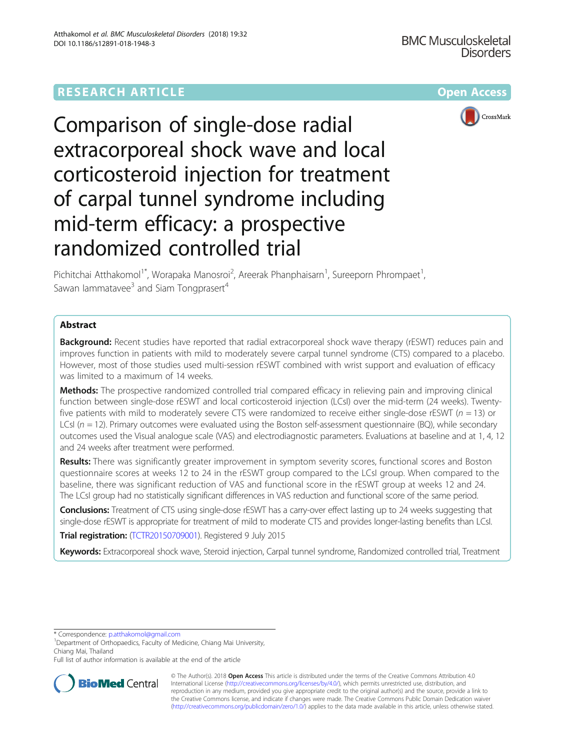# **RESEARCH ARTICLE Example 2014 12:30 The Contract of Contract Article 2014**



Comparison of single-dose radial extracorporeal shock wave and local corticosteroid injection for treatment of carpal tunnel syndrome including mid-term efficacy: a prospective randomized controlled trial

Pichitchai Atthakomol<sup>1\*</sup>, Worapaka Manosroi<sup>2</sup>, Areerak Phanphaisarn<sup>1</sup>, Sureeporn Phrompaet<sup>1</sup> , Sawan lammatavee $3$  and Siam Tongprasert<sup>4</sup>

## Abstract

**Background:** Recent studies have reported that radial extracorporeal shock wave therapy (rESWT) reduces pain and improves function in patients with mild to moderately severe carpal tunnel syndrome (CTS) compared to a placebo. However, most of those studies used multi-session rESWT combined with wrist support and evaluation of efficacy was limited to a maximum of 14 weeks.

Methods: The prospective randomized controlled trial compared efficacy in relieving pain and improving clinical function between single-dose rESWT and local corticosteroid injection (LCsI) over the mid-term (24 weeks). Twentyfive patients with mild to moderately severe CTS were randomized to receive either single-dose rESWT ( $n = 13$ ) or LCsI ( $n = 12$ ). Primary outcomes were evaluated using the Boston self-assessment questionnaire (BQ), while secondary outcomes used the Visual analogue scale (VAS) and electrodiagnostic parameters. Evaluations at baseline and at 1, 4, 12 and 24 weeks after treatment were performed.

Results: There was significantly greater improvement in symptom severity scores, functional scores and Boston questionnaire scores at weeks 12 to 24 in the rESWT group compared to the LCsI group. When compared to the baseline, there was significant reduction of VAS and functional score in the rESWT group at weeks 12 and 24. The LCsI group had no statistically significant differences in VAS reduction and functional score of the same period.

**Conclusions:** Treatment of CTS using single-dose rESWT has a carry-over effect lasting up to 24 weeks suggesting that single-dose rESWT is appropriate for treatment of mild to moderate CTS and provides longer-lasting benefits than LCsI.

Trial registration: [\(TCTR20150709001\)](http://www.clinicaltrials.in.th). Registered 9 July 2015

Keywords: Extracorporeal shock wave, Steroid injection, Carpal tunnel syndrome, Randomized controlled trial, Treatment

\* Correspondence: [p.atthakomol@gmail.com](mailto:p.atthakomol@gmail.com) <sup>1</sup>

Department of Orthopaedics, Faculty of Medicine, Chiang Mai University, Chiang Mai, Thailand

Full list of author information is available at the end of the article



© The Author(s). 2018 Open Access This article is distributed under the terms of the Creative Commons Attribution 4.0 International License [\(http://creativecommons.org/licenses/by/4.0/](http://creativecommons.org/licenses/by/4.0/)), which permits unrestricted use, distribution, and reproduction in any medium, provided you give appropriate credit to the original author(s) and the source, provide a link to the Creative Commons license, and indicate if changes were made. The Creative Commons Public Domain Dedication waiver [\(http://creativecommons.org/publicdomain/zero/1.0/](http://creativecommons.org/publicdomain/zero/1.0/)) applies to the data made available in this article, unless otherwise stated.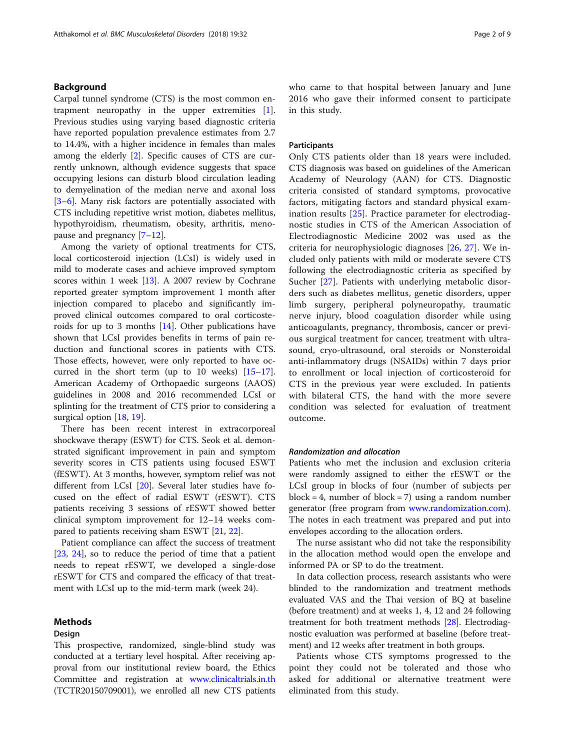## Background

Carpal tunnel syndrome (CTS) is the most common entrapment neuropathy in the upper extremities [\[1](#page-7-0)]. Previous studies using varying based diagnostic criteria have reported population prevalence estimates from 2.7 to 14.4%, with a higher incidence in females than males among the elderly [[2\]](#page-7-0). Specific causes of CTS are currently unknown, although evidence suggests that space occupying lesions can disturb blood circulation leading to demyelination of the median nerve and axonal loss [[3](#page-7-0)–[6\]](#page-7-0). Many risk factors are potentially associated with CTS including repetitive wrist motion, diabetes mellitus, hypothyroidism, rheumatism, obesity, arthritis, menopause and pregnancy [[7](#page-7-0)–[12\]](#page-7-0).

Among the variety of optional treatments for CTS, local corticosteroid injection (LCsI) is widely used in mild to moderate cases and achieve improved symptom scores within 1 week [[13\]](#page-7-0). A 2007 review by Cochrane reported greater symptom improvement 1 month after injection compared to placebo and significantly improved clinical outcomes compared to oral corticosteroids for up to 3 months  $[14]$  $[14]$ . Other publications have shown that LCsI provides benefits in terms of pain reduction and functional scores in patients with CTS. Those effects, however, were only reported to have occurred in the short term (up to 10 weeks)  $[15-17]$  $[15-17]$  $[15-17]$  $[15-17]$  $[15-17]$ . American Academy of Orthopaedic surgeons (AAOS) guidelines in 2008 and 2016 recommended LCsI or splinting for the treatment of CTS prior to considering a surgical option [[18,](#page-7-0) [19](#page-7-0)].

There has been recent interest in extracorporeal shockwave therapy (ESWT) for CTS. Seok et al. demonstrated significant improvement in pain and symptom severity scores in CTS patients using focused ESWT (fESWT). At 3 months, however, symptom relief was not different from LCsI [\[20\]](#page-7-0). Several later studies have focused on the effect of radial ESWT (rESWT). CTS patients receiving 3 sessions of rESWT showed better clinical symptom improvement for 12–14 weeks compared to patients receiving sham ESWT [\[21](#page-7-0), [22](#page-7-0)].

Patient compliance can affect the success of treatment [[23,](#page-7-0) [24\]](#page-7-0), so to reduce the period of time that a patient needs to repeat rESWT, we developed a single-dose rESWT for CTS and compared the efficacy of that treatment with LCsI up to the mid-term mark (week 24).

### Methods

#### Design

This prospective, randomized, single-blind study was conducted at a tertiary level hospital. After receiving approval from our institutional review board, the Ethics Committee and registration at [www.clinicaltrials.in.th](http://www.clinicaltrials.in.th) (TCTR20150709001), we enrolled all new CTS patients who came to that hospital between January and June 2016 who gave their informed consent to participate in this study.

### Participants

Only CTS patients older than 18 years were included. CTS diagnosis was based on guidelines of the American Academy of Neurology (AAN) for CTS. Diagnostic criteria consisted of standard symptoms, provocative factors, mitigating factors and standard physical examination results [[25\]](#page-7-0). Practice parameter for electrodiagnostic studies in CTS of the American Association of Electrodiagnostic Medicine 2002 was used as the criteria for neurophysiologic diagnoses [\[26](#page-7-0), [27](#page-7-0)]. We included only patients with mild or moderate severe CTS following the electrodiagnostic criteria as specified by Sucher [[27\]](#page-7-0). Patients with underlying metabolic disorders such as diabetes mellitus, genetic disorders, upper limb surgery, peripheral polyneuropathy, traumatic nerve injury, blood coagulation disorder while using anticoagulants, pregnancy, thrombosis, cancer or previous surgical treatment for cancer, treatment with ultrasound, cryo-ultrasound, oral steroids or Nonsteroidal anti-inflammatory drugs (NSAIDs) within 7 days prior to enrollment or local injection of corticosteroid for CTS in the previous year were excluded. In patients with bilateral CTS, the hand with the more severe condition was selected for evaluation of treatment outcome.

### Randomization and allocation

Patients who met the inclusion and exclusion criteria were randomly assigned to either the rESWT or the LCsI group in blocks of four (number of subjects per block = 4, number of block = 7) using a random number generator (free program from [www.randomization.com](https://www.randomization.com)). The notes in each treatment was prepared and put into envelopes according to the allocation orders.

The nurse assistant who did not take the responsibility in the allocation method would open the envelope and informed PA or SP to do the treatment.

In data collection process, research assistants who were blinded to the randomization and treatment methods evaluated VAS and the Thai version of BQ at baseline (before treatment) and at weeks 1, 4, 12 and 24 following treatment for both treatment methods [\[28\]](#page-7-0). Electrodiagnostic evaluation was performed at baseline (before treatment) and 12 weeks after treatment in both groups.

Patients whose CTS symptoms progressed to the point they could not be tolerated and those who asked for additional or alternative treatment were eliminated from this study.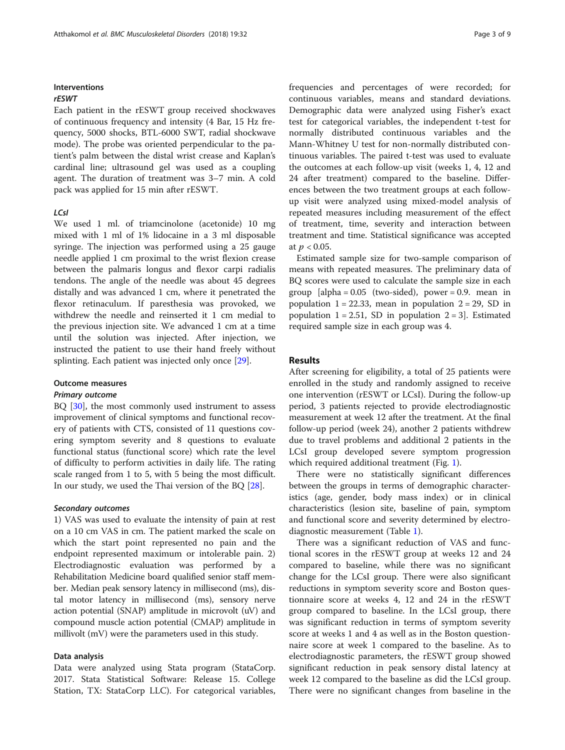## Interventions

## rESWT

Each patient in the rESWT group received shockwaves of continuous frequency and intensity (4 Bar, 15 Hz frequency, 5000 shocks, BTL-6000 SWT, radial shockwave mode). The probe was oriented perpendicular to the patient's palm between the distal wrist crease and Kaplan's cardinal line; ultrasound gel was used as a coupling agent. The duration of treatment was 3–7 min. A cold pack was applied for 15 min after rESWT.

## LCsI

We used 1 ml. of triamcinolone (acetonide) 10 mg mixed with 1 ml of 1% lidocaine in a 3 ml disposable syringe. The injection was performed using a 25 gauge needle applied 1 cm proximal to the wrist flexion crease between the palmaris longus and flexor carpi radialis tendons. The angle of the needle was about 45 degrees distally and was advanced 1 cm, where it penetrated the flexor retinaculum. If paresthesia was provoked, we withdrew the needle and reinserted it 1 cm medial to the previous injection site. We advanced 1 cm at a time until the solution was injected. After injection, we instructed the patient to use their hand freely without splinting. Each patient was injected only once [\[29\]](#page-7-0).

## Outcome measures

#### Primary outcome

BQ [\[30\]](#page-7-0), the most commonly used instrument to assess improvement of clinical symptoms and functional recovery of patients with CTS, consisted of 11 questions covering symptom severity and 8 questions to evaluate functional status (functional score) which rate the level of difficulty to perform activities in daily life. The rating scale ranged from 1 to 5, with 5 being the most difficult. In our study, we used the Thai version of the BQ [[28\]](#page-7-0).

## Secondary outcomes

1) VAS was used to evaluate the intensity of pain at rest on a 10 cm VAS in cm. The patient marked the scale on which the start point represented no pain and the endpoint represented maximum or intolerable pain. 2) Electrodiagnostic evaluation was performed by a Rehabilitation Medicine board qualified senior staff member. Median peak sensory latency in millisecond (ms), distal motor latency in millisecond (ms), sensory nerve action potential (SNAP) amplitude in microvolt (uV) and compound muscle action potential (CMAP) amplitude in millivolt (mV) were the parameters used in this study.

### Data analysis

Data were analyzed using Stata program (StataCorp. 2017. Stata Statistical Software: Release 15. College Station, TX: StataCorp LLC). For categorical variables, frequencies and percentages of were recorded; for continuous variables, means and standard deviations. Demographic data were analyzed using Fisher's exact test for categorical variables, the independent t-test for normally distributed continuous variables and the Mann-Whitney U test for non-normally distributed continuous variables. The paired t-test was used to evaluate the outcomes at each follow-up visit (weeks 1, 4, 12 and 24 after treatment) compared to the baseline. Differences between the two treatment groups at each followup visit were analyzed using mixed-model analysis of repeated measures including measurement of the effect of treatment, time, severity and interaction between treatment and time. Statistical significance was accepted at  $p < 0.05$ .

Estimated sample size for two-sample comparison of means with repeated measures. The preliminary data of BQ scores were used to calculate the sample size in each group  $\alpha$  alpha = 0.05 (two-sided), power = 0.9. mean in population  $1 = 22.33$ , mean in population  $2 = 29$ , SD in population  $1 = 2.51$ , SD in population  $2 = 3$ . Estimated required sample size in each group was 4.

#### Results

After screening for eligibility, a total of 25 patients were enrolled in the study and randomly assigned to receive one intervention (rESWT or LCsI). During the follow-up period, 3 patients rejected to provide electrodiagnostic measurement at week 12 after the treatment. At the final follow-up period (week 24), another 2 patients withdrew due to travel problems and additional 2 patients in the LCsI group developed severe symptom progression which required additional treatment (Fig. [1](#page-3-0)).

There were no statistically significant differences between the groups in terms of demographic characteristics (age, gender, body mass index) or in clinical characteristics (lesion site, baseline of pain, symptom and functional score and severity determined by electrodiagnostic measurement (Table [1\)](#page-3-0).

There was a significant reduction of VAS and functional scores in the rESWT group at weeks 12 and 24 compared to baseline, while there was no significant change for the LCsI group. There were also significant reductions in symptom severity score and Boston questionnaire score at weeks 4, 12 and 24 in the rESWT group compared to baseline. In the LCsI group, there was significant reduction in terms of symptom severity score at weeks 1 and 4 as well as in the Boston questionnaire score at week 1 compared to the baseline. As to electrodiagnostic parameters, the rESWT group showed significant reduction in peak sensory distal latency at week 12 compared to the baseline as did the LCsI group. There were no significant changes from baseline in the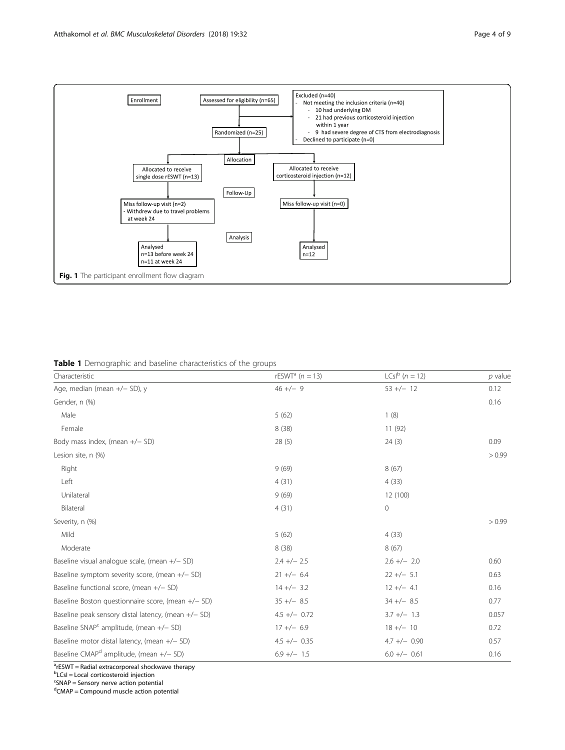<span id="page-3-0"></span>

Table 1 Demographic and baseline characteristics of the groups

| Characteristic                                        | rESWT <sup>a</sup> $(n = 13)$ | $LCsl^{b} (n = 12)$ | $p$ value |
|-------------------------------------------------------|-------------------------------|---------------------|-----------|
| Age, median (mean +/- SD), y                          | $46 +/- 9$                    | $53 +/- 12$         | 0.12      |
| Gender, n (%)                                         |                               |                     | 0.16      |
| Male                                                  | 5(62)                         | 1(8)                |           |
| Female                                                | 8(38)                         | 11(92)              |           |
| Body mass index, (mean +/- SD)                        | 28(5)                         | 24(3)               | 0.09      |
| Lesion site, n (%)                                    |                               |                     | > 0.99    |
| Right                                                 | 9(69)                         | 8(67)               |           |
| Left                                                  | 4(31)                         | 4(33)               |           |
| Unilateral                                            | 9(69)                         | 12 (100)            |           |
| Bilateral                                             | 4(31)                         | $\mathbf 0$         |           |
| Severity, n (%)                                       |                               |                     | > 0.99    |
| Mild                                                  | 5(62)                         | 4(33)               |           |
| Moderate                                              | 8(38)                         | 8(67)               |           |
| Baseline visual analogue scale, (mean +/- SD)         | $2.4 +/- 2.5$                 | $2.6 +/- 2.0$       | 0.60      |
| Baseline symptom severity score, (mean $+/-$ SD)      | $21 +/- 6.4$                  | $22 +/- 5.1$        | 0.63      |
| Baseline functional score, (mean +/- SD)              | $14 +/- 3.2$                  | $12 +/- 4.1$        | 0.16      |
| Baseline Boston questionnaire score, (mean +/- SD)    | $35 +/-$ 8.5                  | $34 +/- 8.5$        | 0.77      |
| Baseline peak sensory distal latency, (mean +/- SD)   | $4.5 +/- 0.72$                | $3.7 +/- 1.3$       | 0.057     |
| Baseline SNAP <sup>c</sup> amplitude, (mean $+/-$ SD) | $17 +/- 6.9$                  | $18 +/- 10$         | 0.72      |
| Baseline motor distal latency, (mean +/- SD)          | $4.5 +/-$ 0.35                | $4.7 +/- 0.90$      | 0.57      |
| Baseline CMAP <sup>d</sup> amplitude, (mean +/- SD)   | $6.9 +/- 1.5$                 | $6.0 +/- 0.61$      | 0.16      |

<sup>a</sup>rESWT = Radial extracorporeal shockwave therapy

<sup>b</sup>LCsI = Local corticosteroid injection

<sup>c</sup>SNAP = Sensory nerve action potential

<sup>d</sup>CMAP = Compound muscle action potential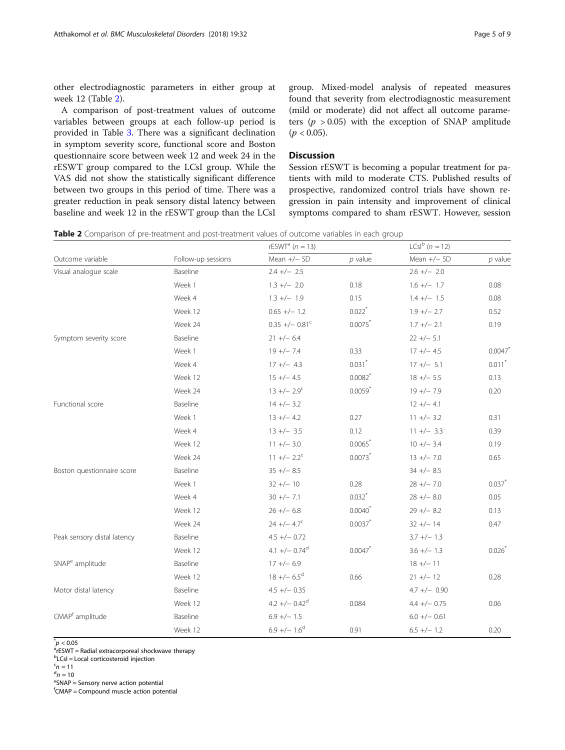other electrodiagnostic parameters in either group at week 12 (Table 2).

A comparison of post-treatment values of outcome variables between groups at each follow-up period is provided in Table [3.](#page-5-0) There was a significant declination in symptom severity score, functional score and Boston questionnaire score between week 12 and week 24 in the rESWT group compared to the LCsI group. While the VAS did not show the statistically significant difference between two groups in this period of time. There was a greater reduction in peak sensory distal latency between baseline and week 12 in the rESWT group than the LCsI

group. Mixed-model analysis of repeated measures found that severity from electrodiagnostic measurement (mild or moderate) did not affect all outcome parameters ( $p > 0.05$ ) with the exception of SNAP amplitude  $(p < 0.05)$ .

## Discussion

Session rESWT is becoming a popular treatment for patients with mild to moderate CTS. Published results of prospective, randomized control trials have shown regression in pain intensity and improvement of clinical symptoms compared to sham rESWT. However, session

Table 2 Comparison of pre-treatment and post-treatment values of outcome variables in each group

| Outcome variable            | Follow-up sessions | rESWT <sup>a</sup> ( $n = 13$ ) |                       | $LCsl^{b} (n = 12)$ |                      |
|-----------------------------|--------------------|---------------------------------|-----------------------|---------------------|----------------------|
|                             |                    | Mean +/- SD                     | $p$ value             | Mean $+/-$ SD       | $p$ value            |
| Visual analogue scale       | Baseline           | $2.4 +/- 2.5$                   |                       | $2.6 +/- 2.0$       |                      |
|                             | Week 1             | $1.3 +/- 2.0$                   | 0.18                  | $1.6 +/- 1.7$       | 0.08                 |
|                             | Week 4             | $1.3 +/- 1.9$                   | 0.15                  | $1.4 +/- 1.5$       | 0.08                 |
|                             | Week 12            | $0.65 +/- 1.2$                  | $0.022$ <sup>*</sup>  | $1.9 +/- 2.7$       | 0.52                 |
|                             | Week 24            | $0.35 +/- 0.81$ <sup>c</sup>    | 0.0075                | $1.7 +/- 2.1$       | 0.19                 |
| Symptom severity score      | Baseline           | $21 +/- 6.4$                    |                       | $22 +/- 5.1$        |                      |
|                             | Week 1             | $19 +/- 7.4$                    | 0.33                  | $17 +/- 4.5$        | 0.0047               |
|                             | Week 4             | $17 +/- 4.3$                    | $0.031$ <sup>*</sup>  | $17 +/- 5.1$        | $0.011$ <sup>*</sup> |
|                             | Week 12            | $15 +/- 4.5$                    | $0.0082$ <sup>*</sup> | $18 +/- 5.5$        | 0.13                 |
|                             | Week 24            | $13 +/- 2.9^c$                  | $0.0059*$             | $19 +/-7.9$         | 0.20                 |
| Functional score            | Baseline           | $14 +/- 3.2$                    |                       | $12 +/- 4.1$        |                      |
|                             | Week 1             | $13 +/- 4.2$                    | 0.27                  | $11 +/- 3.2$        | 0.31                 |
|                             | Week 4             | $13 +/- 3.5$                    | 0.12                  | $11 +/- 3.3$        | 0.39                 |
|                             | Week 12            | $11 +/- 3.0$                    | 0.0065                | $10 +/- 3.4$        | 0.19                 |
|                             | Week 24            | $11 +/- 2.2^c$                  | 0.0073                | $13 +/- 7.0$        | 0.65                 |
| Boston questionnaire score  | Baseline           | $35 +/- 8.5$                    |                       | $34 +/- 8.5$        |                      |
|                             | Week 1             | $32 +/- 10$                     | 0.28                  | $28 +/-7.0$         | 0.037                |
|                             | Week 4             | $30 +/- 7.1$                    | $0.032$ <sup>*</sup>  | $28 + - 8.0$        | 0.05                 |
|                             | Week 12            | $26 +/- 6.8$                    | $0.0040^{*}$          | $29 +/- 8.2$        | 0.13                 |
|                             | Week 24            | $24 +/- 4.7^c$                  | 0.0037                | $32 +/- 14$         | 0.47                 |
| Peak sensory distal latency | Baseline           | $4.5 +/- 0.72$                  |                       | $3.7 +/- 1.3$       |                      |
|                             | Week 12            | $4.1 +/- 0.74$ <sup>d</sup>     | 0.0047                | $3.6 +/- 1.3$       | 0.026                |
| SNAP <sup>e</sup> amplitude | Baseline           | $17 +/- 6.9$                    |                       | $18 +/- 11$         |                      |
|                             | Week 12            | $18 +/- 6.5^d$                  | 0.66                  | $21 +/- 12$         | 0.28                 |
| Motor distal latency        | Baseline           | $4.5 +/- 0.35$                  |                       | $4.7 +/- 0.90$      |                      |
|                             | Week 12            | $4.2 +/- 0.42^d$                | 0.084                 | $4.4 +/- 0.75$      | 0.06                 |
| CMAP <sup>t</sup> amplitude | Baseline           | $6.9 +/- 1.5$                   |                       | $6.0 +/- 0.61$      |                      |
|                             | Week 12            | $6.9 +/- 1.6^d$                 | 0.91                  | $6.5 +/- 1.2$       | 0.20                 |

 $p^*$  < 0.05<br>a<sub>r</sub>ecwr

 $a$ <sup>r</sup>ESWT = Radial extracorporeal shockwave therapy

**b**LCsI = Local corticosteroid injection

 $n = 10$  $e<sup>e</sup>$ SNAP = Sensory nerve action potential

f CMAP = Compound muscle action potential

 $n = 11$ <br>d<sub>n</sub> = 10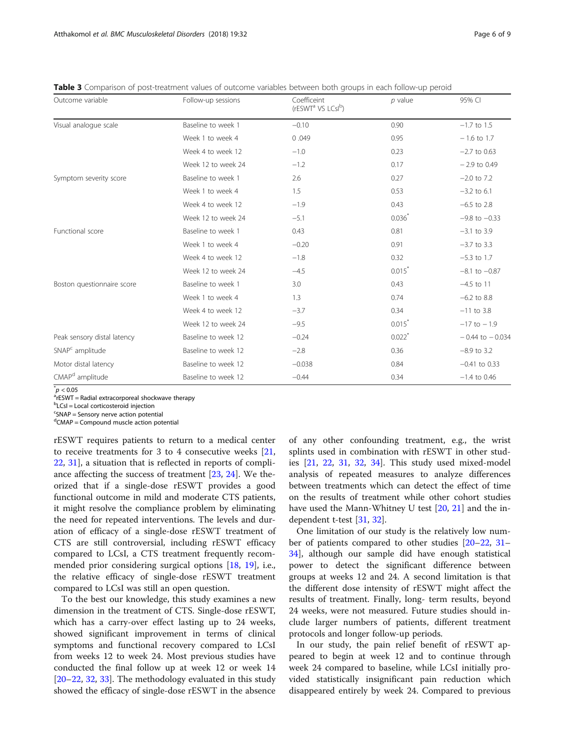| Outcome variable            | Follow-up sessions  | Coefficeint<br>(rESWT <sup>a</sup> VS LCsI <sup>b</sup> ) | $p$ value            | 95% CI              |
|-----------------------------|---------------------|-----------------------------------------------------------|----------------------|---------------------|
| Visual analogue scale       | Baseline to week 1  | $-0.10$                                                   | 0.90                 | $-1.7$ to 1.5       |
|                             | Week 1 to week 4    | 0.049                                                     | 0.95                 | $-1.6$ to 1.7       |
|                             | Week 4 to week 12   | $-1.0$                                                    | 0.23                 | $-2.7$ to 0.63      |
|                             | Week 12 to week 24  | $-1.2$                                                    | 0.17                 | $-2.9$ to 0.49      |
| Symptom severity score      | Baseline to week 1  | 2.6                                                       | 0.27                 | $-2.0$ to 7.2       |
|                             | Week 1 to week 4    | 1.5                                                       | 0.53                 | $-3.2$ to 6.1       |
|                             | Week 4 to week 12   | $-1.9$                                                    | 0.43                 | $-6.5$ to 2.8       |
|                             | Week 12 to week 24  | $-5.1$                                                    | $0.036*$             | $-9.8$ to $-0.33$   |
| Functional score            | Baseline to week 1  | 0.43                                                      | 0.81                 | $-3.1$ to 3.9       |
|                             | Week 1 to week 4    | $-0.20$                                                   | 0.91                 | $-3.7$ to 3.3       |
|                             | Week 4 to week 12   | $-1.8$                                                    | 0.32                 | $-5.3$ to 1.7       |
|                             | Week 12 to week 24  | $-4.5$                                                    | $0.015*$             | $-8.1$ to $-0.87$   |
| Boston questionnaire score  | Baseline to week 1  | 3.0                                                       | 0.43                 | $-4.5$ to 11        |
|                             | Week 1 to week 4    | 1.3                                                       | 0.74                 | $-6.2$ to 8.8       |
|                             | Week 4 to week 12   | $-3.7$                                                    | 0.34                 | $-11$ to 3.8        |
|                             | Week 12 to week 24  | $-9.5$                                                    | $0.015$ <sup>*</sup> | $-17$ to $-1.9$     |
| Peak sensory distal latency | Baseline to week 12 | $-0.24$                                                   | $0.022$ <sup>*</sup> | $-0.44$ to $-0.034$ |
| SNAP <sup>c</sup> amplitude | Baseline to week 12 | $-2.8$                                                    | 0.36                 | $-8.9$ to 3.2       |
| Motor distal latency        | Baseline to week 12 | $-0.038$                                                  | 0.84                 | $-0.41$ to 0.33     |
| CMAP <sup>d</sup> amplitude | Baseline to week 12 | $-0.44$                                                   | 0.34                 | $-1.4$ to 0.46      |

<span id="page-5-0"></span>Table 3 Comparison of post-treatment values of outcome variables between both groups in each follow-up peroid

 $p^*$  < 0.05<br>a<sub>r</sub>ecwr

 $\overline{r}$ rESWT = Radial extracorporeal shockwave therapy

**b**LCsI = Local corticosteroid injection

<sup>c</sup>SNAP = Sensory nerve action potential

<sup>d</sup>CMAP = Compound muscle action potential

rESWT requires patients to return to a medical center to receive treatments for 3 to 4 consecutive weeks [[21](#page-7-0), [22,](#page-7-0) [31\]](#page-7-0), a situation that is reflected in reports of compliance affecting the success of treatment [\[23,](#page-7-0) [24](#page-7-0)]. We theorized that if a single-dose rESWT provides a good functional outcome in mild and moderate CTS patients, it might resolve the compliance problem by eliminating the need for repeated interventions. The levels and duration of efficacy of a single-dose rESWT treatment of CTS are still controversial, including rESWT efficacy compared to LCsI, a CTS treatment frequently recommended prior considering surgical options [\[18,](#page-7-0) [19\]](#page-7-0), i.e., the relative efficacy of single-dose rESWT treatment compared to LCsI was still an open question.

To the best our knowledge, this study examines a new dimension in the treatment of CTS. Single-dose rESWT, which has a carry-over effect lasting up to 24 weeks, showed significant improvement in terms of clinical symptoms and functional recovery compared to LCsI from weeks 12 to week 24. Most previous studies have conducted the final follow up at week 12 or week 14 [[20](#page-7-0)–[22](#page-7-0), [32](#page-7-0), [33](#page-7-0)]. The methodology evaluated in this study showed the efficacy of single-dose rESWT in the absence of any other confounding treatment, e.g., the wrist splints used in combination with rESWT in other studies [[21](#page-7-0), [22](#page-7-0), [31](#page-7-0), [32,](#page-7-0) [34\]](#page-7-0). This study used mixed-model analysis of repeated measures to analyze differences between treatments which can detect the effect of time on the results of treatment while other cohort studies have used the Mann-Whitney U test [[20](#page-7-0), [21\]](#page-7-0) and the independent t-test [[31](#page-7-0), [32](#page-7-0)].

One limitation of our study is the relatively low number of patients compared to other studies [[20](#page-7-0)–[22](#page-7-0), [31](#page-7-0)– [34\]](#page-7-0), although our sample did have enough statistical power to detect the significant difference between groups at weeks 12 and 24. A second limitation is that the different dose intensity of rESWT might affect the results of treatment. Finally, long- term results, beyond 24 weeks, were not measured. Future studies should include larger numbers of patients, different treatment protocols and longer follow-up periods.

In our study, the pain relief benefit of rESWT appeared to begin at week 12 and to continue through week 24 compared to baseline, while LCsI initially provided statistically insignificant pain reduction which disappeared entirely by week 24. Compared to previous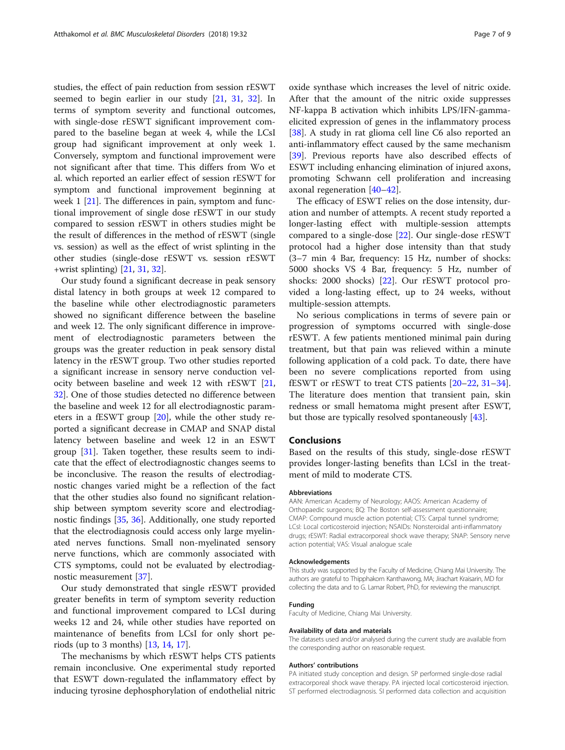studies, the effect of pain reduction from session rESWT seemed to begin earlier in our study [\[21,](#page-7-0) [31](#page-7-0), [32](#page-7-0)]. In terms of symptom severity and functional outcomes, with single-dose rESWT significant improvement compared to the baseline began at week 4, while the LCsI group had significant improvement at only week 1. Conversely, symptom and functional improvement were not significant after that time. This differs from Wo et al. which reported an earlier effect of session rESWT for symptom and functional improvement beginning at week 1 [[21](#page-7-0)]. The differences in pain, symptom and functional improvement of single dose rESWT in our study compared to session rESWT in others studies might be the result of differences in the method of rESWT (single vs. session) as well as the effect of wrist splinting in the other studies (single-dose rESWT vs. session rESWT +wrist splinting) [\[21,](#page-7-0) [31,](#page-7-0) [32\]](#page-7-0).

Our study found a significant decrease in peak sensory distal latency in both groups at week 12 compared to the baseline while other electrodiagnostic parameters showed no significant difference between the baseline and week 12. The only significant difference in improvement of electrodiagnostic parameters between the groups was the greater reduction in peak sensory distal latency in the rESWT group. Two other studies reported a significant increase in sensory nerve conduction velocity between baseline and week 12 with rESWT [[21](#page-7-0), [32\]](#page-7-0). One of those studies detected no difference between the baseline and week 12 for all electrodiagnostic parameters in a fESWT group [\[20](#page-7-0)], while the other study reported a significant decrease in CMAP and SNAP distal latency between baseline and week 12 in an ESWT group [\[31](#page-7-0)]. Taken together, these results seem to indicate that the effect of electrodiagnostic changes seems to be inconclusive. The reason the results of electrodiagnostic changes varied might be a reflection of the fact that the other studies also found no significant relationship between symptom severity score and electrodiagnostic findings [\[35](#page-7-0), [36](#page-8-0)]. Additionally, one study reported that the electrodiagnosis could access only large myelinated nerves functions. Small non-myelinated sensory nerve functions, which are commonly associated with CTS symptoms, could not be evaluated by electrodiagnostic measurement [[37](#page-8-0)].

Our study demonstrated that single rESWT provided greater benefits in term of symptom severity reduction and functional improvement compared to LCsI during weeks 12 and 24, while other studies have reported on maintenance of benefits from LCsI for only short periods (up to 3 months) [[13,](#page-7-0) [14,](#page-7-0) [17\]](#page-7-0).

The mechanisms by which rESWT helps CTS patients remain inconclusive. One experimental study reported that ESWT down-regulated the inflammatory effect by inducing tyrosine dephosphorylation of endothelial nitric

oxide synthase which increases the level of nitric oxide. After that the amount of the nitric oxide suppresses NF-kappa B activation which inhibits LPS/IFN-gammaelicited expression of genes in the inflammatory process [[38\]](#page-8-0). A study in rat glioma cell line C6 also reported an anti-inflammatory effect caused by the same mechanism [[39\]](#page-8-0). Previous reports have also described effects of ESWT including enhancing elimination of injured axons, promoting Schwann cell proliferation and increasing axonal regeneration [[40](#page-8-0)–[42](#page-8-0)].

The efficacy of ESWT relies on the dose intensity, duration and number of attempts. A recent study reported a longer-lasting effect with multiple-session attempts compared to a single-dose  $[22]$  $[22]$ . Our single-dose rESWT protocol had a higher dose intensity than that study (3–7 min 4 Bar, frequency: 15 Hz, number of shocks: 5000 shocks VS 4 Bar, frequency: 5 Hz, number of shocks: 2000 shocks) [\[22](#page-7-0)]. Our rESWT protocol provided a long-lasting effect, up to 24 weeks, without multiple-session attempts.

No serious complications in terms of severe pain or progression of symptoms occurred with single-dose rESWT. A few patients mentioned minimal pain during treatment, but that pain was relieved within a minute following application of a cold pack. To date, there have been no severe complications reported from using fESWT or rESWT to treat CTS patients [[20](#page-7-0)–[22](#page-7-0), [31](#page-7-0)–[34](#page-7-0)]. The literature does mention that transient pain, skin redness or small hematoma might present after ESWT, but those are typically resolved spontaneously [[43\]](#page-8-0).

### Conclusions

Based on the results of this study, single-dose rESWT provides longer-lasting benefits than LCsI in the treatment of mild to moderate CTS.

#### Abbreviations

AAN: American Academy of Neurology; AAOS: American Academy of Orthopaedic surgeons; BQ: The Boston self-assessment questionnaire; CMAP: Compound muscle action potential; CTS: Carpal tunnel syndrome; LCsI: Local corticosteroid injection; NSAIDs: Nonsteroidal anti-inflammatory drugs; rESWT: Radial extracorporeal shock wave therapy; SNAP: Sensory nerve action potential; VAS: Visual analogue scale

#### Acknowledgements

This study was supported by the Faculty of Medicine, Chiang Mai University. The authors are grateful to Thipphakorn Kanthawong, MA; Jirachart Kraisarin, MD for collecting the data and to G. Lamar Robert, PhD, for reviewing the manuscript.

#### Funding

Faculty of Medicine, Chiang Mai University.

#### Availability of data and materials

The datasets used and/or analysed during the current study are available from the corresponding author on reasonable request.

#### Authors' contributions

PA initiated study conception and design. SP performed single-dose radial extracorporeal shock wave therapy. PA injected local corticosteroid injection. ST performed electrodiagnosis. SI performed data collection and acquisition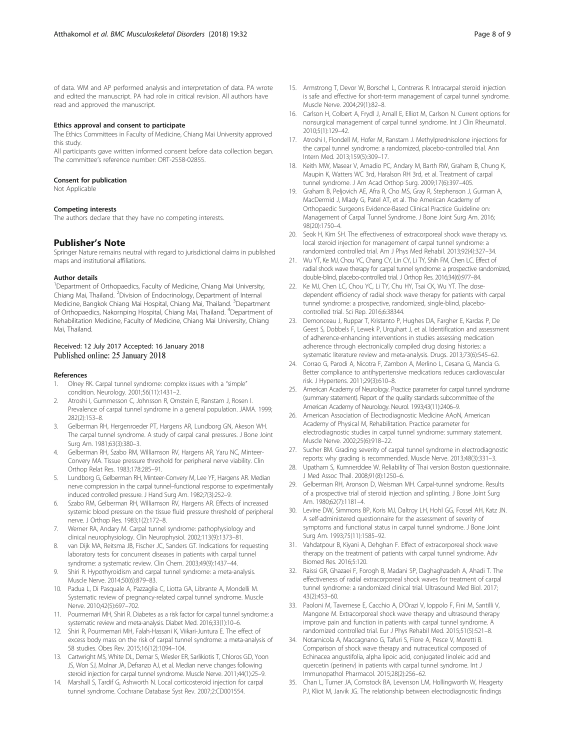#### <span id="page-7-0"></span>Ethics approval and consent to participate

The Ethics Committees in Faculty of Medicine, Chiang Mai University approved this study.

All participants gave written informed consent before data collection began. The committee's reference number: ORT-2558-02855.

#### Consent for publication

Not Applicable

#### Competing interests

The authors declare that they have no competing interests.

## Publisher's Note

Springer Nature remains neutral with regard to jurisdictional claims in published maps and institutional affiliations.

#### Author details

<sup>1</sup>Department of Orthopaedics, Faculty of Medicine, Chiang Mai University, Chiang Mai, Thailand. <sup>2</sup> Division of Endocrinology, Department of Internal Medicine, Bangkok Chiang Mai Hospital, Chiang Mai, Thailand. <sup>3</sup>Department of Orthopaedics, Nakornping Hospital, Chiang Mai, Thailand. <sup>4</sup>Department of Rehabilitation Medicine, Faculty of Medicine, Chiang Mai University, Chiang Mai, Thailand.

#### Received: 12 July 2017 Accepted: 16 January 2018 Published online: 25 January 2018

#### References

- 1. Olney RK. Carpal tunnel syndrome: complex issues with a "simple" condition. Neurology. 2001;56(11):1431–2.
- 2. Atroshi I, Gummesson C, Johnsson R, Ornstein E, Ranstam J, Rosen I. Prevalence of carpal tunnel syndrome in a general population. JAMA. 1999; 282(2):153–8.
- 3. Gelberman RH, Hergenroeder PT, Hargens AR, Lundborg GN, Akeson WH. The carpal tunnel syndrome. A study of carpal canal pressures. J Bone Joint Surg Am. 1981;63(3):380–3.
- 4. Gelberman RH, Szabo RM, Williamson RV, Hargens AR, Yaru NC, Minteer-Convery MA. Tissue pressure threshold for peripheral nerve viability. Clin Orthop Relat Res. 1983;178:285–91.
- 5. Lundborg G, Gelberman RH, Minteer-Convery M, Lee YF, Hargens AR. Median nerve compression in the carpal tunnel–functional response to experimentally induced controlled pressure. J Hand Surg Am. 1982;7(3):252–9.
- 6. Szabo RM, Gelberman RH, Williamson RV, Hargens AR. Effects of increased systemic blood pressure on the tissue fluid pressure threshold of peripheral nerve. J Orthop Res. 1983;1(2):172–8.
- 7. Werner RA, Andary M. Carpal tunnel syndrome: pathophysiology and clinical neurophysiology. Clin Neurophysiol. 2002;113(9):1373–81.
- 8. van Dijk MA, Reitsma JB, Fischer JC, Sanders GT. Indications for requesting laboratory tests for concurrent diseases in patients with carpal tunnel syndrome: a systematic review. Clin Chem. 2003;49(9):1437–44.
- 9. Shiri R. Hypothyroidism and carpal tunnel syndrome: a meta-analysis. Muscle Nerve. 2014;50(6):879–83.
- 10. Padua L, Di Pasquale A, Pazzaglia C, Liotta GA, Librante A, Mondelli M. Systematic review of pregnancy-related carpal tunnel syndrome. Muscle Nerve. 2010;42(5):697–702.
- 11. Pourmemari MH, Shiri R. Diabetes as a risk factor for carpal tunnel syndrome: a systematic review and meta-analysis. Diabet Med. 2016;33(1):10–6.
- 12. Shiri R, Pourmemari MH, Falah-Hassani K, Viikari-Juntura E. The effect of excess body mass on the risk of carpal tunnel syndrome: a meta-analysis of 58 studies. Obes Rev. 2015;16(12):1094–104.
- 13. Cartwright MS, White DL, Demar S, Wiesler ER, Sarlikiotis T, Chloros GD, Yoon JS, Won SJ, Molnar JA, Defranzo AJ, et al. Median nerve changes following steroid injection for carpal tunnel syndrome. Muscle Nerve. 2011;44(1):25–9.
- 14. Marshall S, Tardif G, Ashworth N. Local corticosteroid injection for carpal tunnel syndrome. Cochrane Database Syst Rev. 2007;2:CD001554.
- 15. Armstrong T, Devor W, Borschel L, Contreras R. Intracarpal steroid injection is safe and effective for short-term management of carpal tunnel syndrome. Muscle Nerve. 2004;29(1):82–8.
- 16. Carlson H, Colbert A, Frydl J, Arnall E, Elliot M, Carlson N. Current options for nonsurgical management of carpal tunnel syndrome. Int J Clin Rheumatol. 2010;5(1):129–42.
- 17. Atroshi I, Flondell M, Hofer M, Ranstam J. Methylprednisolone injections for the carpal tunnel syndrome: a randomized, placebo-controlled trial. Ann Intern Med. 2013;159(5):309–17.
- 18. Keith MW, Masear V, Amadio PC, Andary M, Barth RW, Graham B, Chung K, Maupin K, Watters WC 3rd, Haralson RH 3rd, et al. Treatment of carpal tunnel syndrome. J Am Acad Orthop Surg. 2009;17(6):397–405.
- 19. Graham B, Peljovich AE, Afra R, Cho MS, Gray R, Stephenson J, Gurman A, MacDermid J, Mlady G, Patel AT, et al. The American Academy of Orthopaedic Surgeons Evidence-Based Clinical Practice Guideline on: Management of Carpal Tunnel Syndrome. J Bone Joint Surg Am. 2016; 98(20):1750–4.
- 20. Seok H, Kim SH. The effectiveness of extracorporeal shock wave therapy vs. local steroid injection for management of carpal tunnel syndrome: a randomized controlled trial. Am J Phys Med Rehabil. 2013;92(4):327–34.
- 21. Wu YT, Ke MJ, Chou YC, Chang CY, Lin CY, Li TY, Shih FM, Chen LC. Effect of radial shock wave therapy for carpal tunnel syndrome: a prospective randomized, double-blind, placebo-controlled trial. J Orthop Res. 2016;34(6):977–84.
- 22. Ke MJ, Chen LC, Chou YC, Li TY, Chu HY, Tsai CK, Wu YT. The dosedependent efficiency of radial shock wave therapy for patients with carpal tunnel syndrome: a prospective, randomized, single-blind, placebocontrolled trial. Sci Rep. 2016;6:38344.
- 23. Demonceau J, Ruppar T, Kristanto P, Hughes DA, Fargher E, Kardas P, De Geest S, Dobbels F, Lewek P, Urquhart J, et al. Identification and assessment of adherence-enhancing interventions in studies assessing medication adherence through electronically compiled drug dosing histories: a systematic literature review and meta-analysis. Drugs. 2013;73(6):545–62.
- 24. Corrao G, Parodi A, Nicotra F, Zambon A, Merlino L, Cesana G, Mancia G. Better compliance to antihypertensive medications reduces cardiovascular risk. J Hypertens. 2011;29(3):610–8.
- 25. American Academy of Neurology. Practice parameter for carpal tunnel syndrome (summary statement). Report of the quality standards subcommittee of the American Academy of Neurology. Neurol. 1993;43(11):2406–9.
- 26. American Association of Electrodiagnostic Medicine AAoN, American Academy of Physical M, Rehabilitation. Practice parameter for electrodiagnostic studies in carpal tunnel syndrome: summary statement. Muscle Nerve. 2002;25(6):918–22.
- 27. Sucher BM. Grading severity of carpal tunnel syndrome in electrodiagnostic reports: why grading is recommended. Muscle Nerve. 2013;48(3):331–3.
- 28. Upatham S, Kumnerddee W. Reliability of Thai version Boston questionnaire. J Med Assoc Thail. 2008;91(8):1250–6.
- 29. Gelberman RH, Aronson D, Weisman MH. Carpal-tunnel syndrome. Results of a prospective trial of steroid injection and splinting. J Bone Joint Surg Am. 1980;62(7):1181–4.
- 30. Levine DW, Simmons BP, Koris MJ, Daltroy LH, Hohl GG, Fossel AH, Katz JN. A self-administered questionnaire for the assessment of severity of symptoms and functional status in carpal tunnel syndrome. J Bone Joint Surg Am. 1993;75(11):1585–92.
- 31. Vahdatpour B, Kiyani A, Dehghan F. Effect of extracorporeal shock wave therapy on the treatment of patients with carpal tunnel syndrome. Adv Biomed Res. 2016;5:120.
- 32. Raissi GR, Ghazaei F, Forogh B, Madani SP, Daghaghzadeh A, Ahadi T. The effectiveness of radial extracorporeal shock waves for treatment of carpal tunnel syndrome: a randomized clinical trial. Ultrasound Med Biol. 2017; 43(2):453–60.
- 33. Paoloni M, Tavernese E, Cacchio A, D'Orazi V, Ioppolo F, Fini M, Santilli V, Mangone M. Extracorporeal shock wave therapy and ultrasound therapy improve pain and function in patients with carpal tunnel syndrome. A randomized controlled trial. Eur J Phys Rehabil Med. 2015;51(5):521–8.
- 34. Notarnicola A, Maccagnano G, Tafuri S, Fiore A, Pesce V, Moretti B. Comparison of shock wave therapy and nutraceutical composed of Echinacea angustifolia, alpha lipoic acid, conjugated linoleic acid and quercetin (perinerv) in patients with carpal tunnel syndrome. Int J Immunopathol Pharmacol. 2015;28(2):256–62.
- 35. Chan L, Turner JA, Comstock BA, Levenson LM, Hollingworth W, Heagerty PJ, Kliot M, Jarvik JG. The relationship between electrodiagnostic findings